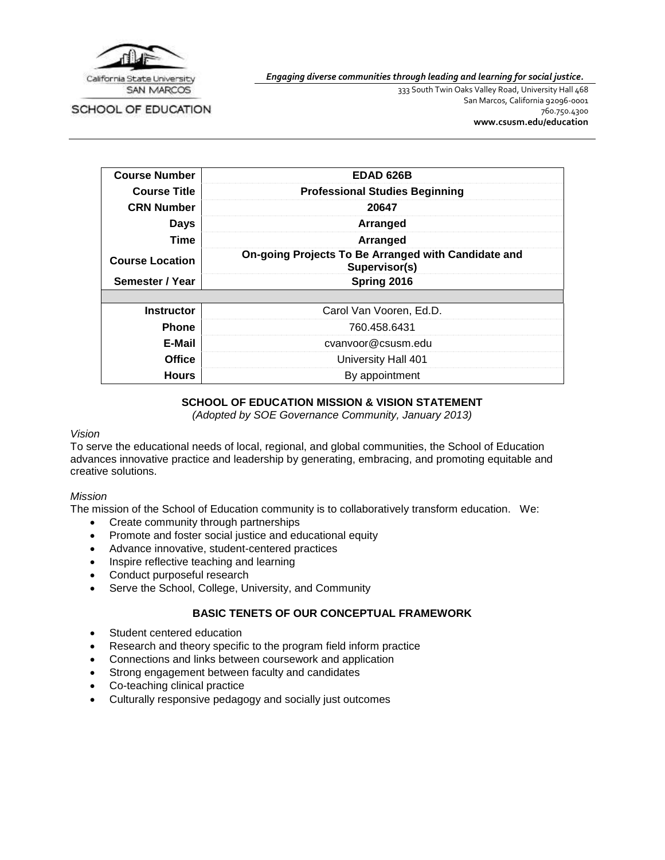

SCHOOL OF EDUCATION

*Engaging diverse communities through leading and learning for social justice.*

333 South Twin Oaks Valley Road, University Hall 468 San Marcos, California 92096-0001 760.750.4300 **[www.csusm.edu/education](http://www.csusm.edu/education)**

| <b>Course Number</b>   | <b>EDAD 626B</b>                                                     |
|------------------------|----------------------------------------------------------------------|
| <b>Course Title</b>    | <b>Professional Studies Beginning</b>                                |
| <b>CRN Number</b>      | 20647                                                                |
| <b>Days</b>            | Arranged                                                             |
| Time                   | Arranged                                                             |
| <b>Course Location</b> | On-going Projects To Be Arranged with Candidate and<br>Supervisor(s) |
|                        |                                                                      |
| Semester / Year        | Spring 2016                                                          |
|                        |                                                                      |
| <b>Instructor</b>      | Carol Van Vooren, Ed.D.                                              |
| <b>Phone</b>           | 760.458.6431                                                         |
| E-Mail                 | cvanvoor@csusm.edu                                                   |
| <b>Office</b>          | University Hall 401                                                  |

# **SCHOOL OF EDUCATION MISSION & VISION STATEMENT**

*(Adopted by SOE Governance Community, January 2013)*

#### *Vision*

To serve the educational needs of local, regional, and global communities, the School of Education advances innovative practice and leadership by generating, embracing, and promoting equitable and creative solutions.

#### *Mission*

The mission of the School of Education community is to collaboratively transform education. We:

- Create community through partnerships
- Promote and foster social justice and educational equity
- Advance innovative, student-centered practices
- Inspire reflective teaching and learning
- Conduct purposeful research
- Serve the School, College, University, and Community

#### **BASIC TENETS OF OUR CONCEPTUAL FRAMEWORK**

- Student centered education
- Research and theory specific to the program field inform practice
- Connections and links between coursework and application
- Strong engagement between faculty and candidates
- Co-teaching clinical practice
- Culturally responsive pedagogy and socially just outcomes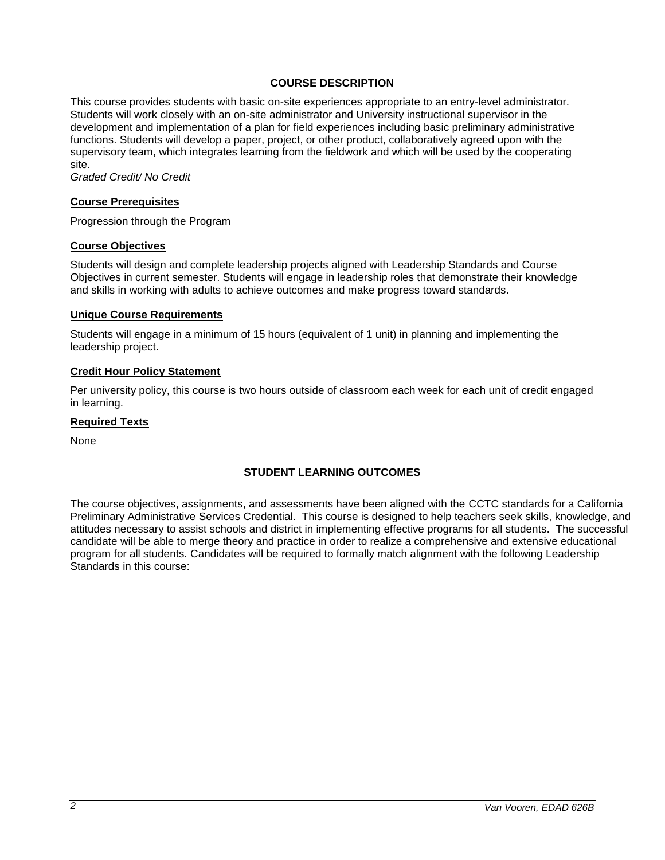## **COURSE DESCRIPTION**

This course provides students with basic on-site experiences appropriate to an entry-level administrator. Students will work closely with an on-site administrator and University instructional supervisor in the development and implementation of a plan for field experiences including basic preliminary administrative functions. Students will develop a paper, project, or other product, collaboratively agreed upon with the supervisory team, which integrates learning from the fieldwork and which will be used by the cooperating site.

*Graded Credit/ No Credit*

#### **Course Prerequisites**

Progression through the Program

#### **Course Objectives**

Students will design and complete leadership projects aligned with Leadership Standards and Course Objectives in current semester. Students will engage in leadership roles that demonstrate their knowledge and skills in working with adults to achieve outcomes and make progress toward standards.

#### **Unique Course Requirements**

Students will engage in a minimum of 15 hours (equivalent of 1 unit) in planning and implementing the leadership project.

#### **Credit Hour Policy Statement**

Per university policy, this course is two hours outside of classroom each week for each unit of credit engaged in learning.

#### **Required Texts**

None

# **STUDENT LEARNING OUTCOMES**

The course objectives, assignments, and assessments have been aligned with the CCTC standards for a California Preliminary Administrative Services Credential. This course is designed to help teachers seek skills, knowledge, and attitudes necessary to assist schools and district in implementing effective programs for all students. The successful candidate will be able to merge theory and practice in order to realize a comprehensive and extensive educational program for all students. Candidates will be required to formally match alignment with the following Leadership Standards in this course: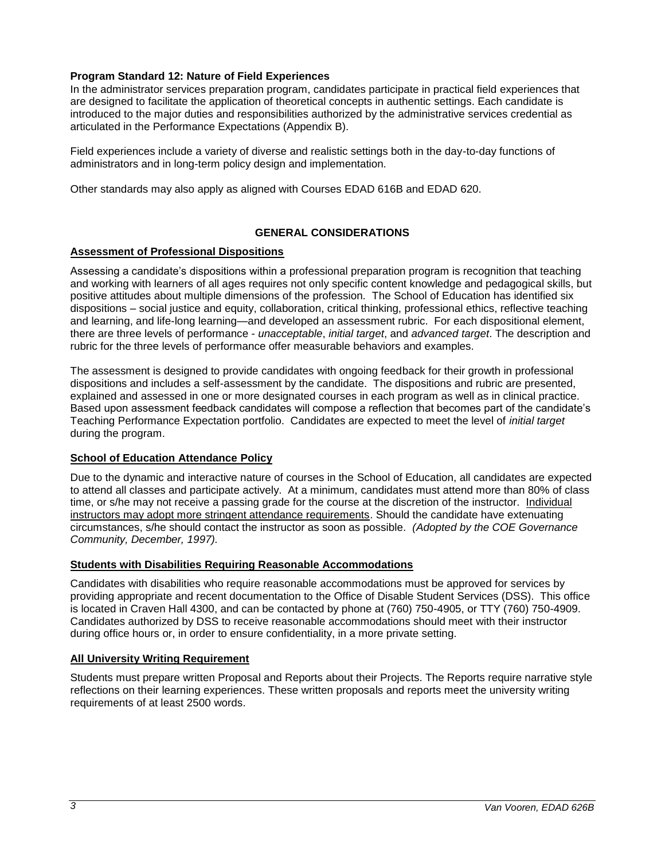## **Program Standard 12: Nature of Field Experiences**

In the administrator services preparation program, candidates participate in practical field experiences that are designed to facilitate the application of theoretical concepts in authentic settings. Each candidate is introduced to the major duties and responsibilities authorized by the administrative services credential as articulated in the Performance Expectations (Appendix B).

Field experiences include a variety of diverse and realistic settings both in the day-to-day functions of administrators and in long-term policy design and implementation.

Other standards may also apply as aligned with Courses EDAD 616B and EDAD 620.

# **GENERAL CONSIDERATIONS**

#### **Assessment of Professional Dispositions**

Assessing a candidate's dispositions within a professional preparation program is recognition that teaching and working with learners of all ages requires not only specific content knowledge and pedagogical skills, but positive attitudes about multiple dimensions of the profession. The School of Education has identified six dispositions – social justice and equity, collaboration, critical thinking, professional ethics, reflective teaching and learning, and life-long learning—and developed an assessment rubric. For each dispositional element, there are three levels of performance - *unacceptable*, *initial target*, and *advanced target*. The description and rubric for the three levels of performance offer measurable behaviors and examples.

The assessment is designed to provide candidates with ongoing feedback for their growth in professional dispositions and includes a self-assessment by the candidate. The dispositions and rubric are presented, explained and assessed in one or more designated courses in each program as well as in clinical practice. Based upon assessment feedback candidates will compose a reflection that becomes part of the candidate's Teaching Performance Expectation portfolio. Candidates are expected to meet the level of *initial target* during the program.

#### **School of Education Attendance Policy**

Due to the dynamic and interactive nature of courses in the School of Education, all candidates are expected to attend all classes and participate actively. At a minimum, candidates must attend more than 80% of class time, or s/he may not receive a passing grade for the course at the discretion of the instructor. Individual instructors may adopt more stringent attendance requirements. Should the candidate have extenuating circumstances, s/he should contact the instructor as soon as possible. *(Adopted by the COE Governance Community, December, 1997).*

#### **Students with Disabilities Requiring Reasonable Accommodations**

Candidates with disabilities who require reasonable accommodations must be approved for services by providing appropriate and recent documentation to the Office of Disable Student Services (DSS). This office is located in Craven Hall 4300, and can be contacted by phone at (760) 750-4905, or TTY (760) 750-4909. Candidates authorized by DSS to receive reasonable accommodations should meet with their instructor during office hours or, in order to ensure confidentiality, in a more private setting.

#### **All University Writing Requirement**

Students must prepare written Proposal and Reports about their Projects. The Reports require narrative style reflections on their learning experiences. These written proposals and reports meet the university writing requirements of at least 2500 words.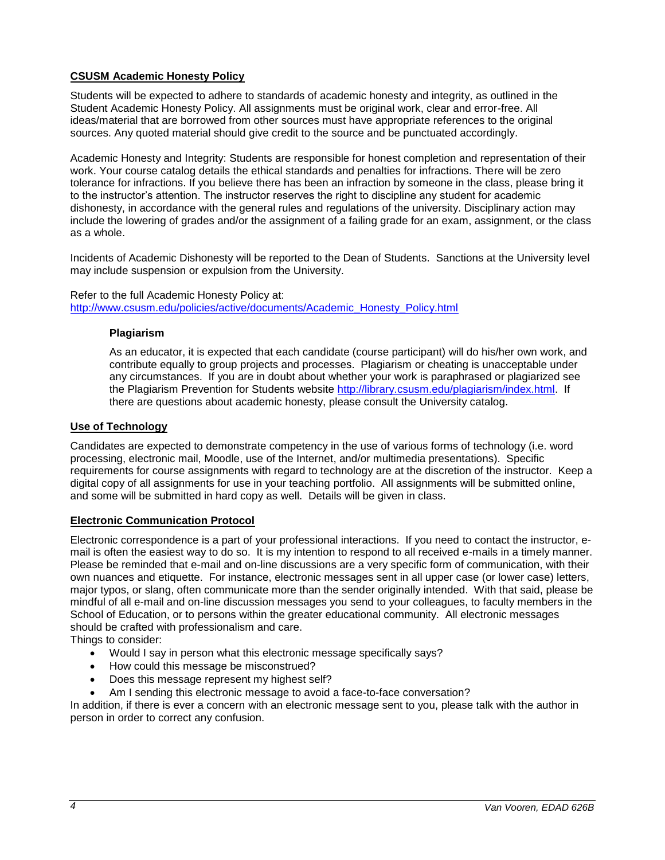# **CSUSM Academic Honesty Policy**

Students will be expected to adhere to standards of academic honesty and integrity, as outlined in the Student Academic Honesty Policy. All assignments must be original work, clear and error-free. All ideas/material that are borrowed from other sources must have appropriate references to the original sources. Any quoted material should give credit to the source and be punctuated accordingly.

Academic Honesty and Integrity: Students are responsible for honest completion and representation of their work. Your course catalog details the ethical standards and penalties for infractions. There will be zero tolerance for infractions. If you believe there has been an infraction by someone in the class, please bring it to the instructor's attention. The instructor reserves the right to discipline any student for academic dishonesty, in accordance with the general rules and regulations of the university. Disciplinary action may include the lowering of grades and/or the assignment of a failing grade for an exam, assignment, or the class as a whole.

Incidents of Academic Dishonesty will be reported to the Dean of Students. Sanctions at the University level may include suspension or expulsion from the University.

#### Refer to the full Academic Honesty Policy at: [http://www.csusm.edu/policies/active/documents/Academic\\_Honesty\\_Policy.html](http://www.csusm.edu/policies/active/documents/Academic_Honesty_Policy.html)

## **Plagiarism**

As an educator, it is expected that each candidate (course participant) will do his/her own work, and contribute equally to group projects and processes. Plagiarism or cheating is unacceptable under any circumstances. If you are in doubt about whether your work is paraphrased or plagiarized see the Plagiarism Prevention for Students website [http://library.csusm.edu/plagiarism/index.html.](http://library.csusm.edu/plagiarism/index.html) If there are questions about academic honesty, please consult the University catalog.

### **Use of Technology**

Candidates are expected to demonstrate competency in the use of various forms of technology (i.e. word processing, electronic mail, Moodle, use of the Internet, and/or multimedia presentations). Specific requirements for course assignments with regard to technology are at the discretion of the instructor. Keep a digital copy of all assignments for use in your teaching portfolio. All assignments will be submitted online, and some will be submitted in hard copy as well. Details will be given in class.

#### **Electronic Communication Protocol**

Electronic correspondence is a part of your professional interactions. If you need to contact the instructor, email is often the easiest way to do so. It is my intention to respond to all received e-mails in a timely manner. Please be reminded that e-mail and on-line discussions are a very specific form of communication, with their own nuances and etiquette. For instance, electronic messages sent in all upper case (or lower case) letters, major typos, or slang, often communicate more than the sender originally intended. With that said, please be mindful of all e-mail and on-line discussion messages you send to your colleagues, to faculty members in the School of Education, or to persons within the greater educational community. All electronic messages should be crafted with professionalism and care.

Things to consider:

- Would I say in person what this electronic message specifically says?
- How could this message be misconstrued?
- Does this message represent my highest self?
- Am I sending this electronic message to avoid a face-to-face conversation?

In addition, if there is ever a concern with an electronic message sent to you, please talk with the author in person in order to correct any confusion.